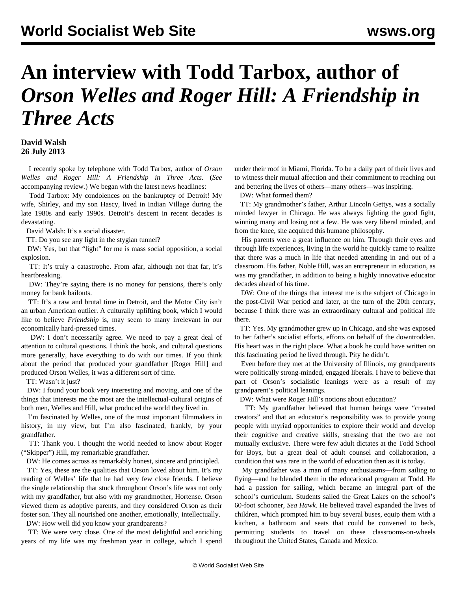## **An interview with Todd Tarbox, author of**  *Orson Welles and Roger Hill: A Friendship in Three Acts*

## **David Walsh 26 July 2013**

 I recently spoke by telephone with Todd Tarbox, author of *Orson Welles and Roger Hill: A Friendship in Three Acts*. (*See* [accompanying review](/en/articles/2013/07/26/tarb-j26.html)*.*) We began with the latest news headlines:

 Todd Tarbox: My condolences on the bankruptcy of Detroit! My wife, Shirley, and my son Hascy, lived in Indian Village during the late 1980s and early 1990s. Detroit's descent in recent decades is devastating.

David Walsh: It's a social disaster.

TT: Do you see any light in the stygian tunnel?

 DW: Yes, but that "light" for me is mass social opposition, a social explosion.

 TT: It's truly a catastrophe. From afar, although not that far, it's heartbreaking.

 DW: They're saying there is no money for pensions, there's only money for bank bailouts.

 TT: It's a raw and brutal time in Detroit, and the Motor City isn't an urban American outlier. A culturally uplifting book, which I would like to believe *Friendship* is, may seem to many irrelevant in our economically hard-pressed times.

 DW: I don't necessarily agree. We need to pay a great deal of attention to cultural questions. I think the book, and cultural questions more generally, have everything to do with our times. If you think about the period that produced your grandfather [Roger Hill] and produced Orson Welles, it was a different sort of time.

TT: Wasn't it just?

 DW: I found your book very interesting and moving, and one of the things that interests me the most are the intellectual-cultural origins of both men, Welles and Hill, what produced the world they lived in.

 I'm fascinated by Welles, one of the most important filmmakers in history, in my view, but I'm also fascinated, frankly, by your grandfather.

 TT: Thank you. I thought the world needed to know about Roger ("Skipper") Hill, my remarkable grandfather.

DW: He comes across as remarkably honest, sincere and principled.

 TT: Yes, these are the qualities that Orson loved about him. It's my reading of Welles' life that he had very few close friends. I believe the single relationship that stuck throughout Orson's life was not only with my grandfather, but also with my grandmother, Hortense. Orson viewed them as adoptive parents, and they considered Orson as their foster son. They all nourished one another, emotionally, intellectually.

DW: How well did you know your grandparents?

 TT: We were very close. One of the most delightful and enriching years of my life was my freshman year in college, which I spend under their roof in Miami, Florida. To be a daily part of their lives and to witness their mutual affection and their commitment to reaching out and bettering the lives of others—many others—was inspiring.

DW: What formed them?

 TT: My grandmother's father, Arthur Lincoln Gettys, was a socially minded lawyer in Chicago. He was always fighting the good fight, winning many and losing not a few. He was very liberal minded, and from the knee, she acquired this humane philosophy.

 His parents were a great influence on him. Through their eyes and through life experiences, living in the world he quickly came to realize that there was a much in life that needed attending in and out of a classroom. His father, Noble Hill, was an entrepreneur in education, as was my grandfather, in addition to being a highly innovative educator decades ahead of his time.

 DW: One of the things that interest me is the subject of Chicago in the post-Civil War period and later, at the turn of the 20th century, because I think there was an extraordinary cultural and political life there.

 TT: Yes. My grandmother grew up in Chicago, and she was exposed to her father's socialist efforts, efforts on behalf of the downtrodden. His heart was in the right place. What a book he could have written on this fascinating period he lived through. Pity he didn't.

 Even before they met at the University of Illinois, my grandparents were politically strong-minded, engaged liberals. I have to believe that part of Orson's socialistic leanings were as a result of my grandparent's political leanings.

DW: What were Roger Hill's notions about education?

 TT: My grandfather believed that human beings were "created creators" and that an educator's responsibility was to provide young people with myriad opportunities to explore their world and develop their cognitive and creative skills, stressing that the two are not mutually exclusive. There were few adult dictates at the Todd School for Boys, but a great deal of adult counsel and collaboration, a condition that was rare in the world of education then as it is today.

 My grandfather was a man of many enthusiasms—from sailing to flying—and he blended them in the educational program at Todd. He had a passion for sailing, which became an integral part of the school's curriculum. Students sailed the Great Lakes on the school's 60-foot schooner, *Sea Hawk*. He believed travel expanded the lives of children, which prompted him to buy several buses, equip them with a kitchen, a bathroom and seats that could be converted to beds, permitting students to travel on these classrooms-on-wheels throughout the United States, Canada and Mexico.